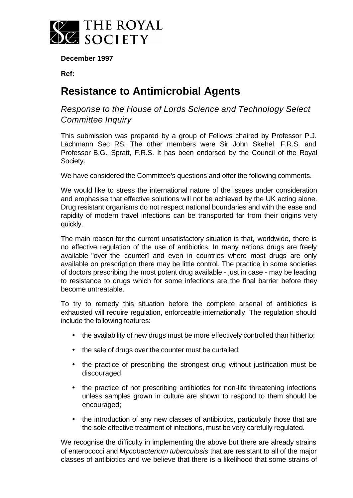

**December 1997**

**Ref:**

## **Resistance to Antimicrobial Agents**

*Response to the House of Lords Science and Technology Select Committee Inquiry*

This submission was prepared by a group of Fellows chaired by Professor P.J. Lachmann Sec RS. The other members were Sir John Skehel, F.R.S. and Professor B.G. Spratt, F.R.S. It has been endorsed by the Council of the Royal Society.

We have considered the Committee's questions and offer the following comments.

We would like to stress the international nature of the issues under consideration and emphasise that effective solutions will not be achieved by the UK acting alone. Drug resistant organisms do not respect national boundaries and with the ease and rapidity of modern travel infections can be transported far from their origins very quickly.

The main reason for the current unsatisfactory situation is that, worldwide, there is no effective regulation of the use of antibiotics. In many nations drugs are freely available "over the counterî and even in countries where most drugs are only available on prescription there may be little control. The practice in some societies of doctors prescribing the most potent drug available - just in case - may be leading to resistance to drugs which for some infections are the final barrier before they become untreatable.

To try to remedy this situation before the complete arsenal of antibiotics is exhausted will require regulation, enforceable internationally. The regulation should include the following features:

- the availability of new drugs must be more effectively controlled than hitherto;
- the sale of drugs over the counter must be curtailed;
- the practice of prescribing the strongest drug without justification must be discouraged;
- the practice of not prescribing antibiotics for non-life threatening infections unless samples grown in culture are shown to respond to them should be encouraged;
- the introduction of any new classes of antibiotics, particularly those that are the sole effective treatment of infections, must be very carefully regulated.

We recognise the difficulty in implementing the above but there are already strains of enterococci and *Mycobacterium tuberculosis* that are resistant to all of the major classes of antibiotics and we believe that there is a likelihood that some strains of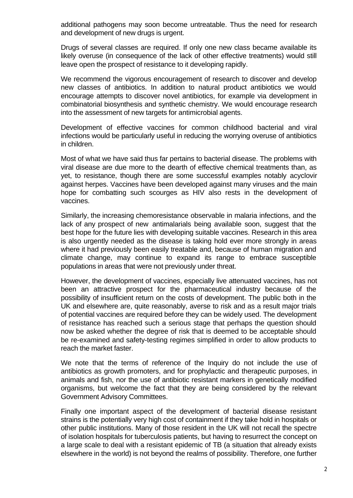additional pathogens may soon become untreatable. Thus the need for research and development of new drugs is urgent.

Drugs of several classes are required. If only one new class became available its likely overuse (in consequence of the lack of other effective treatments) would still leave open the prospect of resistance to it developing rapidly.

We recommend the vigorous encouragement of research to discover and develop new classes of antibiotics. In addition to natural product antibiotics we would encourage attempts to discover novel antibiotics, for example via development in combinatorial biosynthesis and synthetic chemistry. We would encourage research into the assessment of new targets for antimicrobial agents.

Development of effective vaccines for common childhood bacterial and viral infections would be particularly useful in reducing the worrying overuse of antibiotics in children.

Most of what we have said thus far pertains to bacterial disease. The problems with viral disease are due more to the dearth of effective chemical treatments than, as yet, to resistance, though there are some successful examples notably acyclovir against herpes. Vaccines have been developed against many viruses and the main hope for combatting such scourges as HIV also rests in the development of vaccines.

Similarly, the increasing chemoresistance observable in malaria infections, and the lack of any prospect of new antimalarials being available soon, suggest that the best hope for the future lies with developing suitable vaccines. Research in this area is also urgently needed as the disease is taking hold ever more strongly in areas where it had previously been easily treatable and, because of human migration and climate change, may continue to expand its range to embrace susceptible populations in areas that were not previously under threat.

However, the development of vaccines, especially live attenuated vaccines, has not been an attractive prospect for the pharmaceutical industry because of the possibility of insufficient return on the costs of development. The public both in the UK and elsewhere are, quite reasonably, averse to risk and as a result major trials of potential vaccines are required before they can be widely used. The development of resistance has reached such a serious stage that perhaps the question should now be asked whether the degree of risk that is deemed to be acceptable should be re-examined and safety-testing regimes simplified in order to allow products to reach the market faster.

We note that the terms of reference of the Inquiry do not include the use of antibiotics as growth promoters, and for prophylactic and therapeutic purposes, in animals and fish, nor the use of antibiotic resistant markers in genetically modified organisms, but welcome the fact that they are being considered by the relevant Government Advisory Committees.

Finally one important aspect of the development of bacterial disease resistant strains is the potentially very high cost of containment if they take hold in hospitals or other public institutions. Many of those resident in the UK will not recall the spectre of isolation hospitals for tuberculosis patients, but having to resurrect the concept on a large scale to deal with a resistant epidemic of TB (a situation that already exists elsewhere in the world) is not beyond the realms of possibility. Therefore, one further